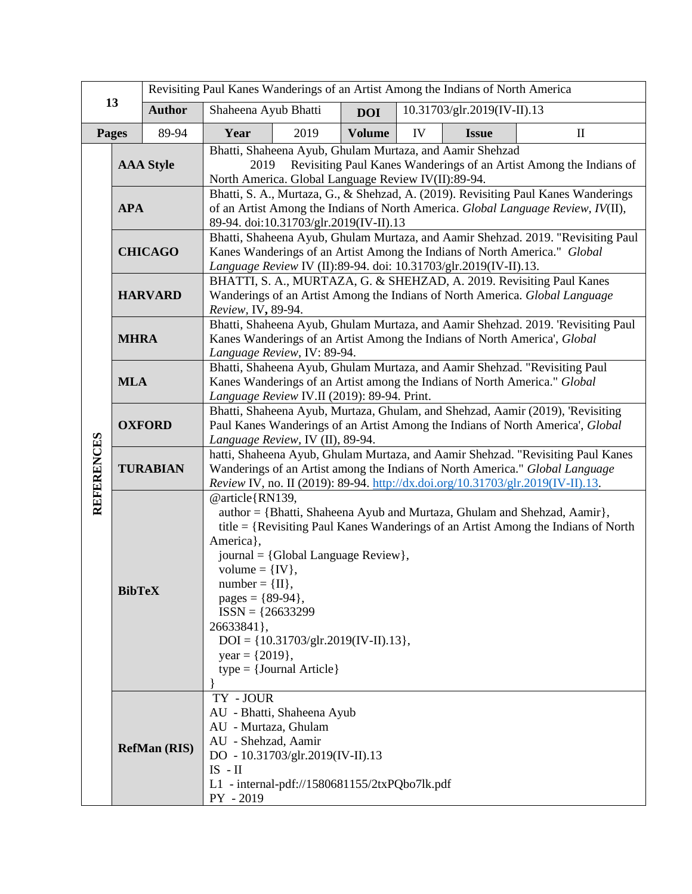| 13                |                  | Revisiting Paul Kanes Wanderings of an Artist Among the Indians of North America                                                                                                                                                                                                                                                                                                                                                                                |                                                                                                                                                                                                                                                    |                                                                                                                 |               |    |                             |              |  |
|-------------------|------------------|-----------------------------------------------------------------------------------------------------------------------------------------------------------------------------------------------------------------------------------------------------------------------------------------------------------------------------------------------------------------------------------------------------------------------------------------------------------------|----------------------------------------------------------------------------------------------------------------------------------------------------------------------------------------------------------------------------------------------------|-----------------------------------------------------------------------------------------------------------------|---------------|----|-----------------------------|--------------|--|
|                   |                  | <b>Author</b>                                                                                                                                                                                                                                                                                                                                                                                                                                                   | Shaheena Ayub Bhatti                                                                                                                                                                                                                               |                                                                                                                 | <b>DOI</b>    |    | 10.31703/glr.2019(IV-II).13 |              |  |
| Pages             |                  | 89-94                                                                                                                                                                                                                                                                                                                                                                                                                                                           | Year                                                                                                                                                                                                                                               | 2019                                                                                                            | <b>Volume</b> | IV | <b>Issue</b>                | $\mathbf{I}$ |  |
| <b>REFERENCES</b> | <b>AAA Style</b> |                                                                                                                                                                                                                                                                                                                                                                                                                                                                 | Bhatti, Shaheena Ayub, Ghulam Murtaza, and Aamir Shehzad<br>Revisiting Paul Kanes Wanderings of an Artist Among the Indians of<br>2019<br>North America. Global Language Review IV(II):89-94.                                                      |                                                                                                                 |               |    |                             |              |  |
|                   | <b>APA</b>       |                                                                                                                                                                                                                                                                                                                                                                                                                                                                 | Bhatti, S. A., Murtaza, G., & Shehzad, A. (2019). Revisiting Paul Kanes Wanderings<br>of an Artist Among the Indians of North America. Global Language Review, IV(II),<br>89-94. doi:10.31703/glr.2019(IV-II).13                                   |                                                                                                                 |               |    |                             |              |  |
|                   | <b>CHICAGO</b>   |                                                                                                                                                                                                                                                                                                                                                                                                                                                                 | Bhatti, Shaheena Ayub, Ghulam Murtaza, and Aamir Shehzad. 2019. "Revisiting Paul<br>Kanes Wanderings of an Artist Among the Indians of North America." Global<br>Language Review IV (II):89-94. doi: 10.31703/glr.2019(IV-II).13.                  |                                                                                                                 |               |    |                             |              |  |
|                   | <b>HARVARD</b>   |                                                                                                                                                                                                                                                                                                                                                                                                                                                                 | BHATTI, S. A., MURTAZA, G. & SHEHZAD, A. 2019. Revisiting Paul Kanes<br>Wanderings of an Artist Among the Indians of North America. Global Language<br>Review, IV, 89-94.                                                                          |                                                                                                                 |               |    |                             |              |  |
|                   | <b>MHRA</b>      |                                                                                                                                                                                                                                                                                                                                                                                                                                                                 | Bhatti, Shaheena Ayub, Ghulam Murtaza, and Aamir Shehzad. 2019. 'Revisiting Paul<br>Kanes Wanderings of an Artist Among the Indians of North America', Global<br>Language Review, IV: 89-94.                                                       |                                                                                                                 |               |    |                             |              |  |
|                   | <b>MLA</b>       |                                                                                                                                                                                                                                                                                                                                                                                                                                                                 | Bhatti, Shaheena Ayub, Ghulam Murtaza, and Aamir Shehzad. "Revisiting Paul<br>Kanes Wanderings of an Artist among the Indians of North America." Global<br>Language Review IV.II (2019): 89-94. Print.                                             |                                                                                                                 |               |    |                             |              |  |
|                   | <b>OXFORD</b>    |                                                                                                                                                                                                                                                                                                                                                                                                                                                                 | Bhatti, Shaheena Ayub, Murtaza, Ghulam, and Shehzad, Aamir (2019), 'Revisiting<br>Paul Kanes Wanderings of an Artist Among the Indians of North America', Global<br>Language Review, IV (II), 89-94.                                               |                                                                                                                 |               |    |                             |              |  |
|                   | <b>TURABIAN</b>  |                                                                                                                                                                                                                                                                                                                                                                                                                                                                 | hatti, Shaheena Ayub, Ghulam Murtaza, and Aamir Shehzad. "Revisiting Paul Kanes<br>Wanderings of an Artist among the Indians of North America." Global Language<br>Review IV, no. II (2019): 89-94. http://dx.doi.org/10.31703/glr.2019(IV-II).13. |                                                                                                                 |               |    |                             |              |  |
|                   |                  | @article{RN139,<br>author = {Bhatti, Shaheena Ayub and Murtaza, Ghulam and Shehzad, Aamir},<br>title = {Revisiting Paul Kanes Wanderings of an Artist Among the Indians of North<br>America},<br>journal = {Global Language Review},<br>volume = $\{IV\},\$<br>$number = \{II\}$<br><b>BibTeX</b><br>pages = ${89-94}$ ,<br>$ISSN = {26633299}$<br>26633841},<br>$DOI = \{10.31703/glr.2019(IV-II).13\},\$<br>year = $\{2019\},\$<br>$type = {Journal Article}$ |                                                                                                                                                                                                                                                    |                                                                                                                 |               |    |                             |              |  |
|                   |                  | <b>RefMan (RIS)</b>                                                                                                                                                                                                                                                                                                                                                                                                                                             | TY - JOUR<br>AU - Murtaza, Ghulam<br>AU - Shehzad, Aamir<br>$IS$ - $II$<br>PY - 2019                                                                                                                                                               | AU - Bhatti, Shaheena Ayub<br>DO - 10.31703/glr.2019(IV-II).13<br>L1 - internal-pdf://1580681155/2txPQbo7lk.pdf |               |    |                             |              |  |